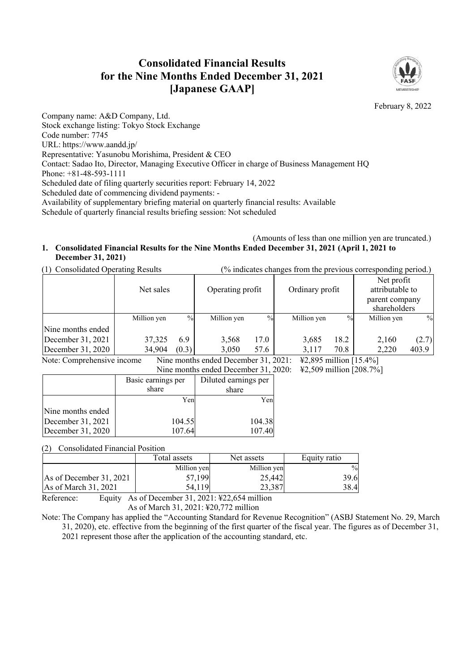# **Consolidated Financial Results for the Nine Months Ended December 31, 2021 [Japanese GAAP]**



February 8, 2022

Company name: A&D Company, Ltd. Stock exchange listing: Tokyo Stock Exchange Code number: 7745 URL: https://www.aandd.jp/ Representative: Yasunobu Morishima, President & CEO Contact: Sadao Ito, Director, Managing Executive Officer in charge of Business Management HQ Phone: +81-48-593-1111 Scheduled date of filing quarterly securities report: February 14, 2022 Scheduled date of commencing dividend payments: - Availability of supplementary briefing material on quarterly financial results: Available Schedule of quarterly financial results briefing session: Not scheduled

## (Amounts of less than one million yen are truncated.) **1. Consolidated Financial Results for the Nine Months Ended December 31, 2021 (April 1, 2021 to December 31, 2021)**

| (1) Consolidated Operating Results | $\frac{1}{2}$ indicates changes from the previous corresponding period.) |
|------------------------------------|--------------------------------------------------------------------------|
|                                    |                                                                          |

|                    | Net sales   | Operating profit |             |               | Ordinary profit |               | ັ້<br>Net profit<br>attributable to<br>parent company<br>shareholders |       |
|--------------------|-------------|------------------|-------------|---------------|-----------------|---------------|-----------------------------------------------------------------------|-------|
|                    | Million yen | $\frac{0}{0}$    | Million yen | $\frac{0}{0}$ | Million yen     | $\frac{0}{0}$ | Million yen                                                           | $\%$  |
| Nine months ended  |             |                  |             |               |                 |               |                                                                       |       |
| December 31, 2021  | 37,325      | 6.9              | 3,568       | 17.0          | 3,685           | 18.2          | 2,160                                                                 | (2.7) |
| December $31,2020$ | 34,904      | (0.3)            | 3,050       | 57.6          | 3,117           | 70.8          | 2,220                                                                 | 403.9 |

Note: Comprehensive income<br>Nine months ended December 31, 2021: \{2,895 million [15.4%]  $M_{\text{20}}$  December 31, 2020:  $\frac{1}{208.7\%}$ ]

|  | Nine months ended December 31, $2020$ : $\pm 2.509$ million |  |
|--|-------------------------------------------------------------|--|
|  | Basic earnings per   Diluted earnings per                   |  |

|                   | Dasiy yammigo pyr | DHUWU VAHIIILES PVI |
|-------------------|-------------------|---------------------|
|                   | share             | share               |
|                   | Yenl              | Yen                 |
| Nine months ended |                   |                     |
| December 31, 2021 | 104.55            | 104.38              |
| December 31, 2020 | 107.64            | 107.40              |

(2) Consolidated Financial Position

 $\Box$ 

|                         | Total assets | Net assets  | Equity ratio |
|-------------------------|--------------|-------------|--------------|
|                         | Million yen  | Million yen | $\%$         |
| As of December 31, 2021 | 57,199       | 25,442      | 39.6         |
| As of March 31, 2021    | 54,119       | 23,387      | 38.4         |

Reference: Equity As of December 31, 2021: ¥22,654 million As of March 31, 2021: ¥20,772 million

Note: The Company has applied the "Accounting Standard for Revenue Recognition" (ASBJ Statement No. 29, March 31, 2020), etc. effective from the beginning of the first quarter of the fiscal year. The figures as of December 31, 2021 represent those after the application of the accounting standard, etc.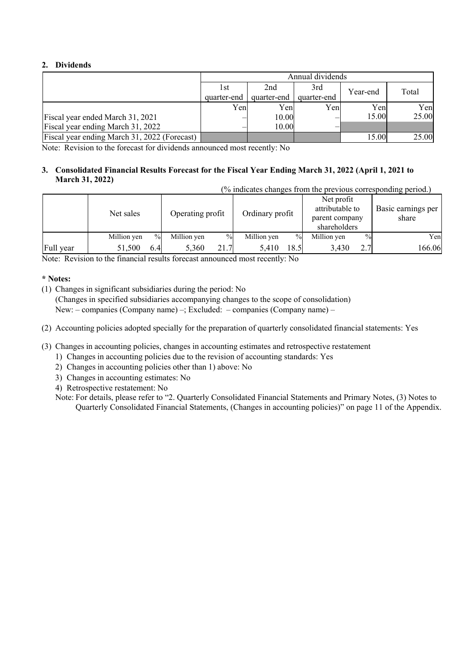## **2. Dividends**

|                                              | Annual dividends |             |             |       |       |  |  |
|----------------------------------------------|------------------|-------------|-------------|-------|-------|--|--|
|                                              | l st             | Year-end    | Total       |       |       |  |  |
|                                              | quarter-end      | quarter-end | quarter-end |       |       |  |  |
|                                              | Yenl             | Yenl        | Yen         | Yenl  | Yen   |  |  |
| Fiscal year ended March 31, 2021             |                  | 10.00       |             | 15.00 | 25.00 |  |  |
| Fiscal year ending March 31, 2022            |                  | 10.00       |             |       |       |  |  |
| Fiscal year ending March 31, 2022 (Forecast) |                  |             |             | 15.00 | 25.00 |  |  |

Note: Revision to the forecast for dividends announced most recently: No

#### **3. Consolidated Financial Results Forecast for the Fiscal Year Ending March 31, 2022 (April 1, 2021 to March 31, 2022)**  (% indicates changes from the previous corresponding period.)

|           | (% indicates changes from the previous corresponding period.) |      |                  |      |                 |      |                                                                 |      |                             |
|-----------|---------------------------------------------------------------|------|------------------|------|-----------------|------|-----------------------------------------------------------------|------|-----------------------------|
|           | Net sales                                                     |      | Operating profit |      | Ordinary profit |      | Net profit<br>attributable to<br>parent company<br>shareholders |      | Basic earnings per<br>share |
|           | Million yen                                                   | $\%$ | Million yen      | $\%$ | Million yen     | $\%$ | Million yen                                                     | $\%$ | Yen                         |
| Full year | 51,500                                                        | 6.4  | 5.360            | 21.7 | 5.410           | 18.5 | 3.430                                                           | 2.7  | 166.06                      |

Note: Revision to the financial results forecast announced most recently: No

# **\* Notes:**

(1) Changes in significant subsidiaries during the period: No

(Changes in specified subsidiaries accompanying changes to the scope of consolidation) New: – companies (Company name) –; Excluded: – companies (Company name) –

- (2) Accounting policies adopted specially for the preparation of quarterly consolidated financial statements: Yes
- (3) Changes in accounting policies, changes in accounting estimates and retrospective restatement
	- 1) Changes in accounting policies due to the revision of accounting standards: Yes
	- 2) Changes in accounting policies other than 1) above: No
	- 3) Changes in accounting estimates: No
	- 4) Retrospective restatement: No
	- Note: For details, please refer to "2. Quarterly Consolidated Financial Statements and Primary Notes, (3) Notes to Quarterly Consolidated Financial Statements, (Changes in accounting policies)" on page 11 of the Appendix.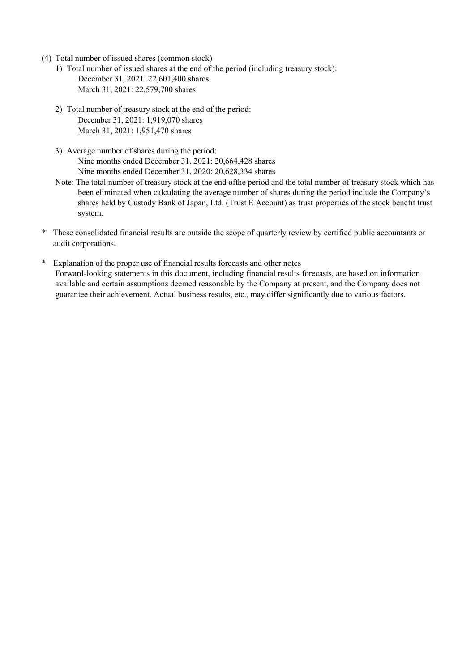- (4) Total number of issued shares (common stock)
	- 1) Total number of issued shares at the end of the period (including treasury stock): December 31, 2021: 22,601,400 shares March 31, 2021: 22,579,700 shares
	- 2) Total number of treasury stock at the end of the period: December 31, 2021: 1,919,070 shares March 31, 2021: 1,951,470 shares
	- 3) Average number of shares during the period: Nine months ended December 31, 2021: 20,664,428 shares Nine months ended December 31, 2020: 20,628,334 shares
	- Note: The total number of treasury stock at the end of the period and the total number of treasury stock which has been eliminated when calculating the average number of shares during the period include the Company's shares held by Custody Bank of Japan, Ltd. (Trust E Account) as trust properties of the stock benefit trust system.
- \* These consolidated financial results are outside the scope of quarterly review by certified public accountants or audit corporations.
- \* Explanation of the proper use of financial results forecasts and other notes Forward-looking statements in this document, including financial results forecasts, are based on information available and certain assumptions deemed reasonable by the Company at present, and the Company does not guarantee their achievement. Actual business results, etc., may differ significantly due to various factors.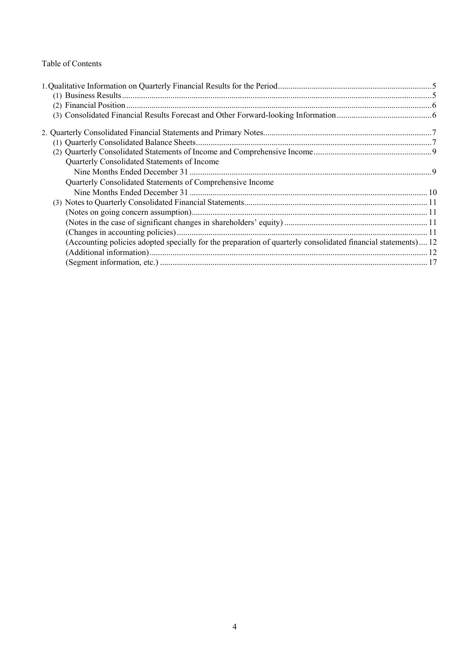# Table of Contents

| Quarterly Consolidated Statements of Income                                                                   |  |
|---------------------------------------------------------------------------------------------------------------|--|
|                                                                                                               |  |
| Quarterly Consolidated Statements of Comprehensive Income                                                     |  |
|                                                                                                               |  |
|                                                                                                               |  |
|                                                                                                               |  |
|                                                                                                               |  |
|                                                                                                               |  |
| (Accounting policies adopted specially for the preparation of quarterly consolidated financial statements) 12 |  |
|                                                                                                               |  |
|                                                                                                               |  |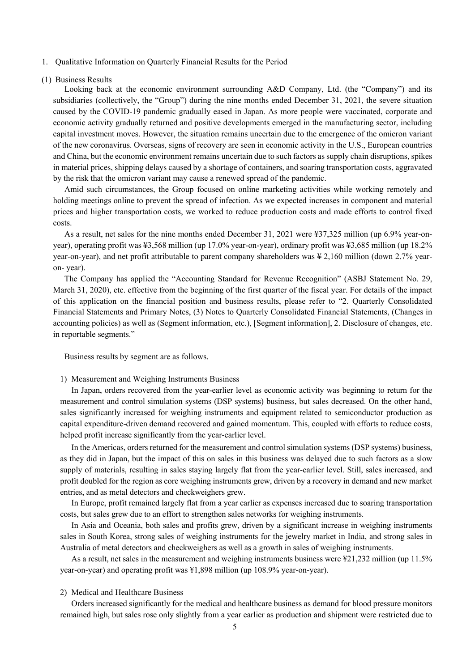- 1. Qualitative Information on Quarterly Financial Results for the Period
- (1) Business Results

Looking back at the economic environment surrounding A&D Company, Ltd. (the "Company") and its subsidiaries (collectively, the "Group") during the nine months ended December 31, 2021, the severe situation caused by the COVID-19 pandemic gradually eased in Japan. As more people were vaccinated, corporate and economic activity gradually returned and positive developments emerged in the manufacturing sector, including capital investment moves. However, the situation remains uncertain due to the emergence of the omicron variant of the new coronavirus. Overseas, signs of recovery are seen in economic activity in the U.S., European countries and China, but the economic environment remains uncertain due to such factors as supply chain disruptions, spikes in material prices, shipping delays caused by a shortage of containers, and soaring transportation costs, aggravated by the risk that the omicron variant may cause a renewed spread of the pandemic.

Amid such circumstances, the Group focused on online marketing activities while working remotely and holding meetings online to prevent the spread of infection. As we expected increases in component and material prices and higher transportation costs, we worked to reduce production costs and made efforts to control fixed costs.

As a result, net sales for the nine months ended December 31, 2021 were ¥37,325 million (up 6.9% year-onyear), operating profit was ¥3,568 million (up 17.0% year-on-year), ordinary profit was ¥3,685 million (up 18.2% year-on-year), and net profit attributable to parent company shareholders was ¥ 2,160 million (down 2.7% yearon- year).

The Company has applied the "Accounting Standard for Revenue Recognition" (ASBJ Statement No. 29, March 31, 2020), etc. effective from the beginning of the first quarter of the fiscal year. For details of the impact of this application on the financial position and business results, please refer to "2. Quarterly Consolidated Financial Statements and Primary Notes, (3) Notes to Quarterly Consolidated Financial Statements, (Changes in accounting policies) as well as (Segment information, etc.), [Segment information], 2. Disclosure of changes, etc. in reportable segments."

Business results by segment are as follows.

1) Measurement and Weighing Instruments Business

In Japan, orders recovered from the year-earlier level as economic activity was beginning to return for the measurement and control simulation systems (DSP systems) business, but sales decreased. On the other hand, sales significantly increased for weighing instruments and equipment related to semiconductor production as capital expenditure-driven demand recovered and gained momentum. This, coupled with efforts to reduce costs, helped profit increase significantly from the year-earlier level.

In the Americas, orders returned for the measurement and control simulation systems (DSP systems) business, as they did in Japan, but the impact of this on sales in this business was delayed due to such factors as a slow supply of materials, resulting in sales staying largely flat from the year-earlier level. Still, sales increased, and profit doubled for the region as core weighing instruments grew, driven by a recovery in demand and new market entries, and as metal detectors and checkweighers grew.

In Europe, profit remained largely flat from a year earlier as expenses increased due to soaring transportation costs, but sales grew due to an effort to strengthen sales networks for weighing instruments.

In Asia and Oceania, both sales and profits grew, driven by a significant increase in weighing instruments sales in South Korea, strong sales of weighing instruments for the jewelry market in India, and strong sales in Australia of metal detectors and checkweighers as well as a growth in sales of weighing instruments.

As a result, net sales in the measurement and weighing instruments business were ¥21,232 million (up 11.5% year-on-year) and operating profit was ¥1,898 million (up 108.9% year-on-year).

## 2) Medical and Healthcare Business

Orders increased significantly for the medical and healthcare business as demand for blood pressure monitors remained high, but sales rose only slightly from a year earlier as production and shipment were restricted due to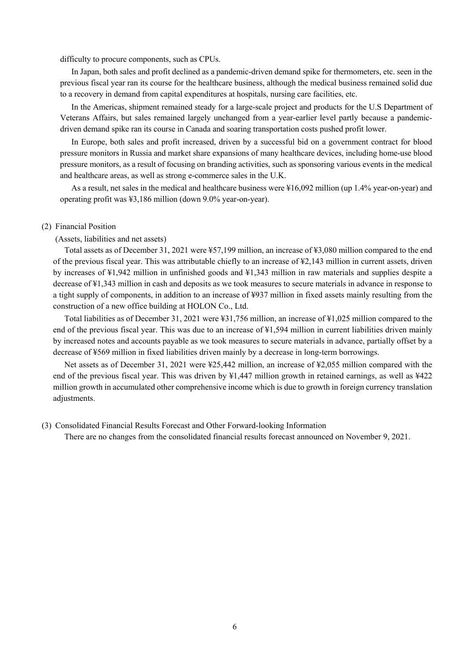difficulty to procure components, such as CPUs.

In Japan, both sales and profit declined as a pandemic-driven demand spike for thermometers, etc. seen in the previous fiscal year ran its course for the healthcare business, although the medical business remained solid due to a recovery in demand from capital expenditures at hospitals, nursing care facilities, etc.

In the Americas, shipment remained steady for a large-scale project and products for the U.S Department of Veterans Affairs, but sales remained largely unchanged from a year-earlier level partly because a pandemicdriven demand spike ran its course in Canada and soaring transportation costs pushed profit lower.

In Europe, both sales and profit increased, driven by a successful bid on a government contract for blood pressure monitors in Russia and market share expansions of many healthcare devices, including home-use blood pressure monitors, as a result of focusing on branding activities, such as sponsoring various events in the medical and healthcare areas, as well as strong e-commerce sales in the U.K.

As a result, net sales in the medical and healthcare business were ¥16,092 million (up 1.4% year-on-year) and operating profit was ¥3,186 million (down 9.0% year-on-year).

## (2) Financial Position

#### (Assets, liabilities and net assets)

Total assets as of December 31, 2021 were ¥57,199 million, an increase of ¥3,080 million compared to the end of the previous fiscal year. This was attributable chiefly to an increase of ¥2,143 million in current assets, driven by increases of ¥1,942 million in unfinished goods and ¥1,343 million in raw materials and supplies despite a decrease of ¥1,343 million in cash and deposits as we took measures to secure materials in advance in response to a tight supply of components, in addition to an increase of ¥937 million in fixed assets mainly resulting from the construction of a new office building at HOLON Co., Ltd.

Total liabilities as of December 31, 2021 were ¥31,756 million, an increase of ¥1,025 million compared to the end of the previous fiscal year. This was due to an increase of ¥1,594 million in current liabilities driven mainly by increased notes and accounts payable as we took measures to secure materials in advance, partially offset by a decrease of ¥569 million in fixed liabilities driven mainly by a decrease in long-term borrowings.

Net assets as of December 31, 2021 were ¥25,442 million, an increase of ¥2,055 million compared with the end of the previous fiscal year. This was driven by ¥1,447 million growth in retained earnings, as well as ¥422 million growth in accumulated other comprehensive income which is due to growth in foreign currency translation adjustments.

#### (3) Consolidated Financial Results Forecast and Other Forward-looking Information

There are no changes from the consolidated financial results forecast announced on November 9, 2021.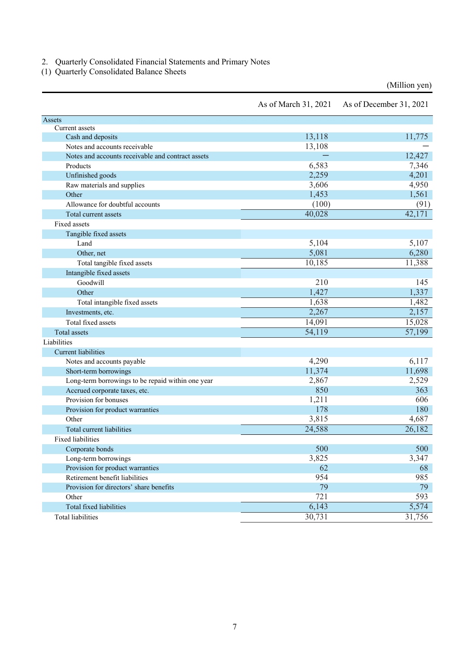2. Quarterly Consolidated Financial Statements and Primary Notes

(1) Quarterly Consolidated Balance Sheets

(Million yen)

|                                                   | As of March 31, 2021 | As of December 31, 2021 |
|---------------------------------------------------|----------------------|-------------------------|
| Assets                                            |                      |                         |
| Current assets                                    |                      |                         |
| Cash and deposits                                 | 13,118               | 11,775                  |
| Notes and accounts receivable                     | 13,108               |                         |
| Notes and accounts receivable and contract assets |                      | 12,427                  |
| Products                                          | 6,583                | 7,346                   |
| Unfinished goods                                  | 2,259                | 4,201                   |
| Raw materials and supplies                        | 3,606                | 4,950                   |
| Other                                             | 1,453                | 1,561                   |
| Allowance for doubtful accounts                   | (100)                | (91)                    |
| Total current assets                              | 40,028               | 42,171                  |
| Fixed assets                                      |                      |                         |
| Tangible fixed assets                             |                      |                         |
| Land                                              | 5,104                | 5,107                   |
| Other, net                                        | 5,081                | 6,280                   |
| Total tangible fixed assets                       | 10,185               | 11,388                  |
| Intangible fixed assets                           |                      |                         |
| Goodwill                                          | 210                  | 145                     |
| Other                                             | 1,427                | 1,337                   |
| Total intangible fixed assets                     | 1,638                | 1,482                   |
| Investments, etc.                                 | 2,267                | 2,157                   |
| Total fixed assets                                | 14,091               | 15,028                  |
| Total assets                                      | 54,119               | 57,199                  |
| Liabilities                                       |                      |                         |
| Current liabilities                               |                      |                         |
| Notes and accounts payable                        | 4,290                | 6,117                   |
| Short-term borrowings                             | 11,374               | 11,698                  |
| Long-term borrowings to be repaid within one year | 2,867                | 2,529                   |
| Accrued corporate taxes, etc.                     | 850                  | 363                     |
| Provision for bonuses                             | 1,211                | 606                     |
| Provision for product warranties                  | 178                  | 180                     |
| Other                                             | 3,815                | 4,687                   |
| Total current liabilities                         | 24,588               | 26,182                  |
| <b>Fixed liabilities</b>                          |                      |                         |
| Corporate bonds                                   | 500                  | 500                     |
| Long-term borrowings                              | 3,825                | 3,347                   |
| Provision for product warranties                  | 62                   | 68                      |
| Retirement benefit liabilities                    | 954                  | 985                     |
| Provision for directors' share benefits           | 79                   | 79                      |
| Other                                             | 721                  | 593                     |
| Total fixed liabilities                           | 6,143                | 5,574                   |
| Total liabilities                                 | 30,731               | 31,756                  |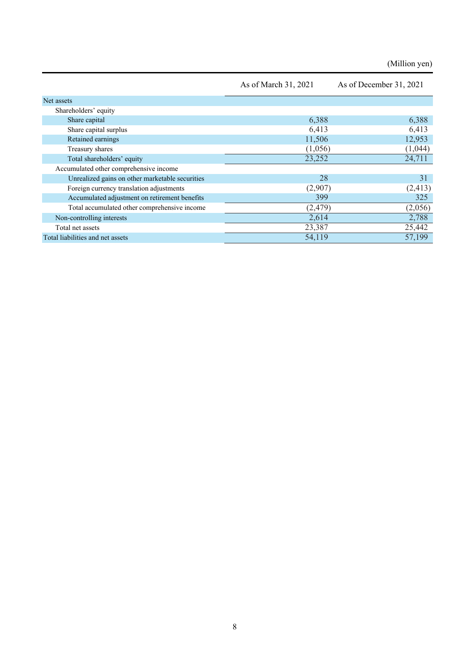(Million yen)

|                                                 | As of March 31, 2021 | As of December 31, 2021 |
|-------------------------------------------------|----------------------|-------------------------|
| Net assets                                      |                      |                         |
| Shareholders' equity                            |                      |                         |
| Share capital                                   | 6,388                | 6,388                   |
| Share capital surplus                           | 6,413                | 6,413                   |
| Retained earnings                               | 11,506               | 12,953                  |
| Treasury shares                                 | (1,056)              | (1,044)                 |
| Total shareholders' equity                      | 23,252               | 24,711                  |
| Accumulated other comprehensive income          |                      |                         |
| Unrealized gains on other marketable securities | 28                   | 31                      |
| Foreign currency translation adjustments        | (2,907)              | (2, 413)                |
| Accumulated adjustment on retirement benefits   | 399                  | 325                     |
| Total accumulated other comprehensive income    | (2,479)              | (2,056)                 |
| Non-controlling interests                       | 2,614                | 2,788                   |
| Total net assets                                | 23,387               | 25,442                  |
| Total liabilities and net assets                | 54,119               | 57,199                  |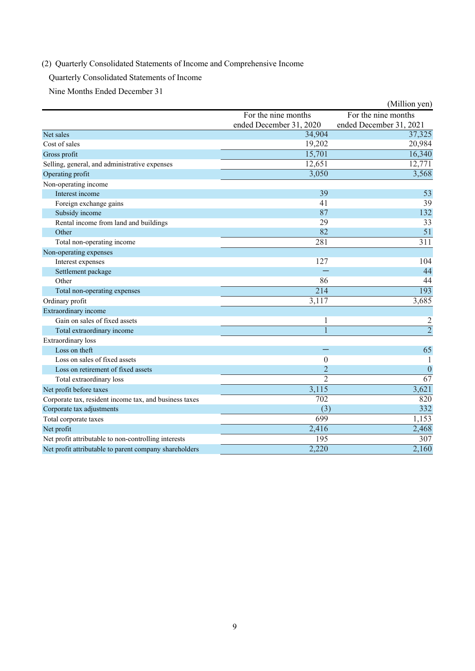# (2) Quarterly Consolidated Statements of Income and Comprehensive Income

Quarterly Consolidated Statements of Income

Nine Months Ended December 31

|                                                        |                         | (Million yen)           |
|--------------------------------------------------------|-------------------------|-------------------------|
|                                                        | For the nine months     | For the nine months     |
|                                                        | ended December 31, 2020 | ended December 31, 2021 |
| Net sales                                              | 34,904                  | 37,325                  |
| Cost of sales                                          | 19,202                  | 20,984                  |
| Gross profit                                           | 15,701                  | 16,340                  |
| Selling, general, and administrative expenses          | 12,651                  | 12,771                  |
| Operating profit                                       | 3,050                   | 3,568                   |
| Non-operating income                                   |                         |                         |
| Interest income                                        | 39                      | 53                      |
| Foreign exchange gains                                 | 41                      | 39                      |
| Subsidy income                                         | 87                      | 132                     |
| Rental income from land and buildings                  | 29                      | 33                      |
| Other                                                  | 82                      | 51                      |
| Total non-operating income                             | 281                     | $\overline{311}$        |
| Non-operating expenses                                 |                         |                         |
| Interest expenses                                      | 127                     | 104                     |
| Settlement package                                     |                         | 44                      |
| Other                                                  | 86                      | 44                      |
| Total non-operating expenses                           | 214                     | 193                     |
| Ordinary profit                                        | 3,117                   | 3,685                   |
| Extraordinary income                                   |                         |                         |
| Gain on sales of fixed assets                          | 1                       | 2                       |
| Total extraordinary income                             |                         | $\overline{2}$          |
| Extraordinary loss                                     |                         |                         |
| Loss on theft                                          |                         | 65                      |
| Loss on sales of fixed assets                          | $\theta$                |                         |
| Loss on retirement of fixed assets                     | $\overline{2}$          | $\overline{0}$          |
| Total extraordinary loss                               | $\overline{2}$          | 67                      |
| Net profit before taxes                                | 3,115                   | 3,621                   |
| Corporate tax, resident income tax, and business taxes | $\overline{702}$        | 820                     |
| Corporate tax adjustments                              | (3)                     | 332                     |
| Total corporate taxes                                  | 699                     | 1,153                   |
| Net profit                                             | 2,416                   | 2,468                   |
| Net profit attributable to non-controlling interests   | 195                     | 307                     |
| Net profit attributable to parent company shareholders | 2,220                   | 2,160                   |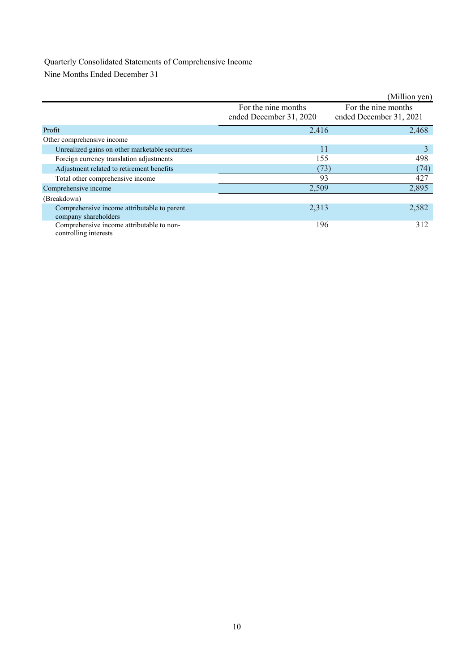# Quarterly Consolidated Statements of Comprehensive Income

Nine Months Ended December 31

|                                                                     |                                                | (Million yen)                                  |
|---------------------------------------------------------------------|------------------------------------------------|------------------------------------------------|
|                                                                     | For the nine months<br>ended December 31, 2020 | For the nine months<br>ended December 31, 2021 |
| Profit                                                              | 2,416                                          | 2,468                                          |
| Other comprehensive income                                          |                                                |                                                |
| Unrealized gains on other marketable securities                     | 11                                             | 3                                              |
| Foreign currency translation adjustments                            | 155                                            | 498                                            |
| Adjustment related to retirement benefits                           | (73)                                           | (74)                                           |
| Total other comprehensive income                                    | 93                                             | 427                                            |
| Comprehensive income                                                | 2,509                                          | 2,895                                          |
| (Breakdown)                                                         |                                                |                                                |
| Comprehensive income attributable to parent<br>company shareholders | 2,313                                          | 2,582                                          |
| Comprehensive income attributable to non-<br>controlling interests  | 196                                            | 312                                            |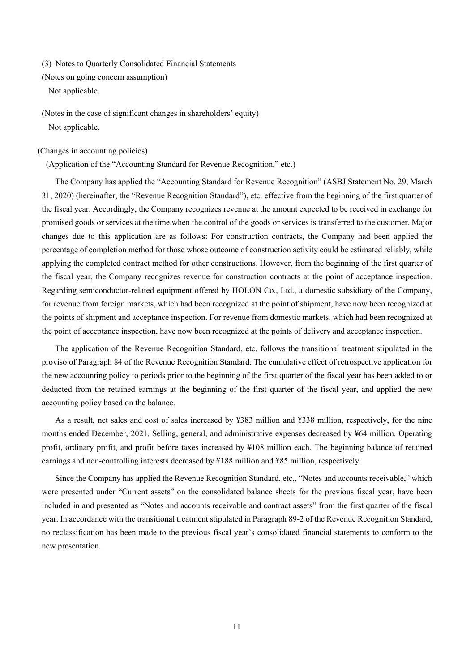(3) Notes to Quarterly Consolidated Financial Statements

(Notes on going concern assumption) Not applicable.

(Notes in the case of significant changes in shareholders' equity) Not applicable.

(Changes in accounting policies)

(Application of the "Accounting Standard for Revenue Recognition," etc.)

The Company has applied the "Accounting Standard for Revenue Recognition" (ASBJ Statement No. 29, March 31, 2020) (hereinafter, the "Revenue Recognition Standard"), etc. effective from the beginning of the first quarter of the fiscal year. Accordingly, the Company recognizes revenue at the amount expected to be received in exchange for promised goods or services at the time when the control of the goods or services is transferred to the customer. Major changes due to this application are as follows: For construction contracts, the Company had been applied the percentage of completion method for those whose outcome of construction activity could be estimated reliably, while applying the completed contract method for other constructions. However, from the beginning of the first quarter of the fiscal year, the Company recognizes revenue for construction contracts at the point of acceptance inspection. Regarding semiconductor-related equipment offered by HOLON Co., Ltd., a domestic subsidiary of the Company, for revenue from foreign markets, which had been recognized at the point of shipment, have now been recognized at the points of shipment and acceptance inspection. For revenue from domestic markets, which had been recognized at the point of acceptance inspection, have now been recognized at the points of delivery and acceptance inspection.

The application of the Revenue Recognition Standard, etc. follows the transitional treatment stipulated in the proviso of Paragraph 84 of the Revenue Recognition Standard. The cumulative effect of retrospective application for the new accounting policy to periods prior to the beginning of the first quarter of the fiscal year has been added to or deducted from the retained earnings at the beginning of the first quarter of the fiscal year, and applied the new accounting policy based on the balance.

As a result, net sales and cost of sales increased by ¥383 million and ¥338 million, respectively, for the nine months ended December, 2021. Selling, general, and administrative expenses decreased by ¥64 million. Operating profit, ordinary profit, and profit before taxes increased by ¥108 million each. The beginning balance of retained earnings and non-controlling interests decreased by ¥188 million and ¥85 million, respectively.

Since the Company has applied the Revenue Recognition Standard, etc., "Notes and accounts receivable," which were presented under "Current assets" on the consolidated balance sheets for the previous fiscal year, have been included in and presented as "Notes and accounts receivable and contract assets" from the first quarter of the fiscal year. In accordance with the transitional treatment stipulated in Paragraph 89-2 of the Revenue Recognition Standard, no reclassification has been made to the previous fiscal year's consolidated financial statements to conform to the new presentation.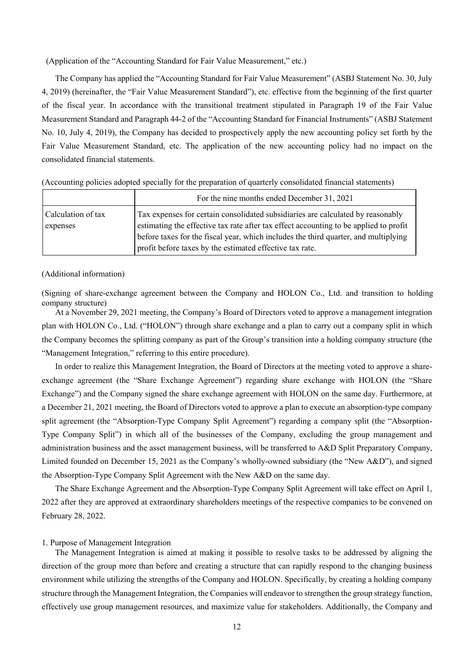(Application of the "Accounting Standard for Fair Value Measurement," etc.)

The Company has applied the "Accounting Standard for Fair Value Measurement" (ASBJ Statement No. 30, July 4, 2019) (hereinafter, the "Fair Value Measurement Standard"), etc. effective from the beginning of the first quarter of the fiscal year. In accordance with the transitional treatment stipulated in Paragraph 19 of the Fair Value Measurement Standard and Paragraph 44-2 of the "Accounting Standard for Financial Instruments" (ASBJ Statement No. 10, July 4, 2019), the Company has decided to prospectively apply the new accounting policy set forth by the Fair Value Measurement Standard, etc. The application of the new accounting policy had no impact on the consolidated financial statements.

|                    | For the nine months ended December 31, 2021                                           |
|--------------------|---------------------------------------------------------------------------------------|
| Calculation of tax | Tax expenses for certain consolidated subsidiaries are calculated by reasonably       |
| expenses           | estimating the effective tax rate after tax effect accounting to be applied to profit |
|                    | before taxes for the fiscal year, which includes the third quarter, and multiplying   |
|                    | profit before taxes by the estimated effective tax rate.                              |

(Accounting policies adopted specially for the preparation of quarterly consolidated financial statements)

#### (Additional information)

(Signing of share-exchange agreement between the Company and HOLON Co., Ltd. and transition to holding company structure)

At a November 29, 2021 meeting, the Company's Board of Directors voted to approve a management integration plan with HOLON Co., Ltd. ("HOLON") through share exchange and a plan to carry out a company split in which the Company becomes the splitting company as part of the Group's transition into a holding company structure (the "Management Integration," referring to this entire procedure).

In order to realize this Management Integration, the Board of Directors at the meeting voted to approve a shareexchange agreement (the "Share Exchange Agreement") regarding share exchange with HOLON (the "Share Exchange") and the Company signed the share exchange agreement with HOLON on the same day. Furthermore, at a December 21, 2021 meeting, the Board of Directors voted to approve a plan to execute an absorption-type company split agreement (the "Absorption-Type Company Split Agreement") regarding a company split (the "Absorption-Type Company Split") in which all of the businesses of the Company, excluding the group management and administration business and the asset management business, will be transferred to A&D Split Preparatory Company, Limited founded on December 15, 2021 as the Company's wholly-owned subsidiary (the "New A&D"), and signed the Absorption-Type Company Split Agreement with the New A&D on the same day.

The Share Exchange Agreement and the Absorption-Type Company Split Agreement will take effect on April 1, 2022 after they are approved at extraordinary shareholders meetings of the respective companies to be convened on February 28, 2022.

#### 1. Purpose of Management Integration

The Management Integration is aimed at making it possible to resolve tasks to be addressed by aligning the direction of the group more than before and creating a structure that can rapidly respond to the changing business environment while utilizing the strengths of the Company and HOLON. Specifically, by creating a holding company structure through the Management Integration, the Companies will endeavor to strengthen the group strategy function, effectively use group management resources, and maximize value for stakeholders. Additionally, the Company and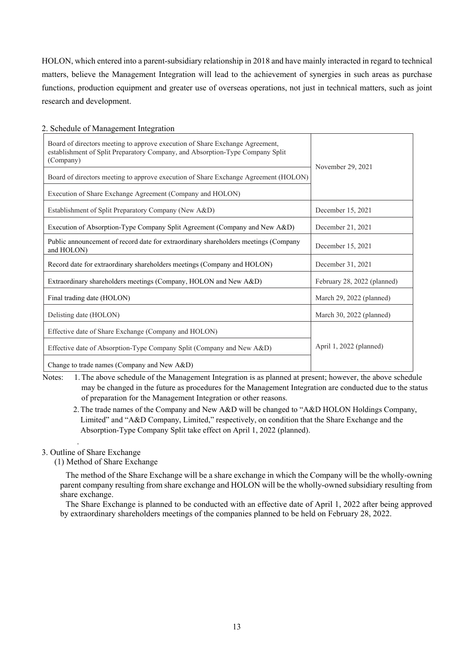HOLON, which entered into a parent-subsidiary relationship in 2018 and have mainly interacted in regard to technical matters, believe the Management Integration will lead to the achievement of synergies in such areas as purchase functions, production equipment and greater use of overseas operations, not just in technical matters, such as joint research and development.

## 2. Schedule of Management Integration

| Board of directors meeting to approve execution of Share Exchange Agreement,<br>establishment of Split Preparatory Company, and Absorption-Type Company Split<br>(Company) | November 29, 2021           |  |
|----------------------------------------------------------------------------------------------------------------------------------------------------------------------------|-----------------------------|--|
| Board of directors meeting to approve execution of Share Exchange Agreement (HOLON)                                                                                        |                             |  |
| Execution of Share Exchange Agreement (Company and HOLON)                                                                                                                  |                             |  |
| Establishment of Split Preparatory Company (New A&D)                                                                                                                       | December 15, 2021           |  |
| Execution of Absorption-Type Company Split Agreement (Company and New A&D)                                                                                                 | December 21, 2021           |  |
| Public announcement of record date for extraordinary shareholders meetings (Company<br>and HOLON)                                                                          | December 15, 2021           |  |
| Record date for extraordinary shareholders meetings (Company and HOLON)                                                                                                    | December 31, 2021           |  |
| Extraordinary shareholders meetings (Company, HOLON and New A&D)                                                                                                           | February 28, 2022 (planned) |  |
| Final trading date (HOLON)                                                                                                                                                 | March 29, 2022 (planned)    |  |
| Delisting date (HOLON)                                                                                                                                                     | March 30, 2022 (planned)    |  |
| Effective date of Share Exchange (Company and HOLON)                                                                                                                       |                             |  |
| Effective date of Absorption-Type Company Split (Company and New A&D)                                                                                                      | April 1, 2022 (planned)     |  |
| Change to trade names (Company and New A&D)                                                                                                                                |                             |  |

Notes: 1. The above schedule of the Management Integration is as planned at present; however, the above schedule may be changed in the future as procedures for the Management Integration are conducted due to the status of preparation for the Management Integration or other reasons.

2.The trade names of the Company and New A&D will be changed to "A&D HOLON Holdings Company, Limited" and "A&D Company, Limited," respectively, on condition that the Share Exchange and the Absorption-Type Company Split take effect on April 1, 2022 (planned).

## 3. Outline of Share Exchange

.

(1) Method of Share Exchange

The method of the Share Exchange will be a share exchange in which the Company will be the wholly-owning parent company resulting from share exchange and HOLON will be the wholly-owned subsidiary resulting from share exchange.

The Share Exchange is planned to be conducted with an effective date of April 1, 2022 after being approved by extraordinary shareholders meetings of the companies planned to be held on February 28, 2022.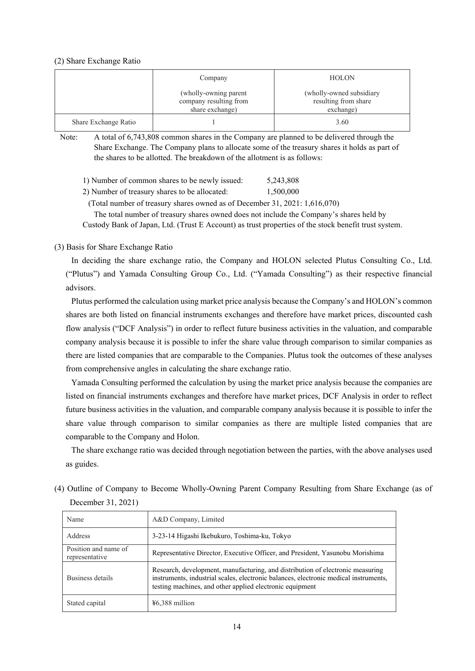#### (2) Share Exchange Ratio

|                      | Company                                                            | <b>HOLON</b>                                                  |
|----------------------|--------------------------------------------------------------------|---------------------------------------------------------------|
|                      | (wholly-owning parent<br>company resulting from<br>share exchange) | (wholly-owned subsidiary<br>resulting from share<br>exchange) |
| Share Exchange Ratio |                                                                    | 3.60                                                          |

Note: A total of 6,743,808 common shares in the Company are planned to be delivered through the Share Exchange. The Company plans to allocate some of the treasury shares it holds as part of the shares to be allotted. The breakdown of the allotment is as follows:

| 1) Number of common shares to be newly issued: |  | 5,243,808 |
|------------------------------------------------|--|-----------|
|------------------------------------------------|--|-----------|

2) Number of treasury shares to be allocated: 1,500,000

(Total number of treasury shares owned as of December 31, 2021: 1,616,070)

The total number of treasury shares owned does not include the Company's shares held by

Custody Bank of Japan, Ltd. (Trust E Account) as trust properties of the stock benefit trust system.

# (3) Basis for Share Exchange Ratio

In deciding the share exchange ratio, the Company and HOLON selected Plutus Consulting Co., Ltd. ("Plutus") and Yamada Consulting Group Co., Ltd. ("Yamada Consulting") as their respective financial advisors.

Plutus performed the calculation using market price analysis because the Company's and HOLON's common shares are both listed on financial instruments exchanges and therefore have market prices, discounted cash flow analysis ("DCF Analysis") in order to reflect future business activities in the valuation, and comparable company analysis because it is possible to infer the share value through comparison to similar companies as there are listed companies that are comparable to the Companies. Plutus took the outcomes of these analyses from comprehensive angles in calculating the share exchange ratio.

Yamada Consulting performed the calculation by using the market price analysis because the companies are listed on financial instruments exchanges and therefore have market prices, DCF Analysis in order to reflect future business activities in the valuation, and comparable company analysis because it is possible to infer the share value through comparison to similar companies as there are multiple listed companies that are comparable to the Company and Holon.

The share exchange ratio was decided through negotiation between the parties, with the above analyses used as guides.

(4) Outline of Company to Become Wholly-Owning Parent Company Resulting from Share Exchange (as of December 31, 2021)

| Name                                   | A&D Company, Limited                                                                                                                                                                                                               |
|----------------------------------------|------------------------------------------------------------------------------------------------------------------------------------------------------------------------------------------------------------------------------------|
| Address                                | 3-23-14 Higashi Ikebukuro, Toshima-ku, Tokyo                                                                                                                                                                                       |
| Position and name of<br>representative | Representative Director, Executive Officer, and President, Yasunobu Morishima                                                                                                                                                      |
| Business details                       | Research, development, manufacturing, and distribution of electronic measuring<br>instruments, industrial scales, electronic balances, electronic medical instruments,<br>testing machines, and other applied electronic equipment |
| Stated capital                         | $46,388$ million                                                                                                                                                                                                                   |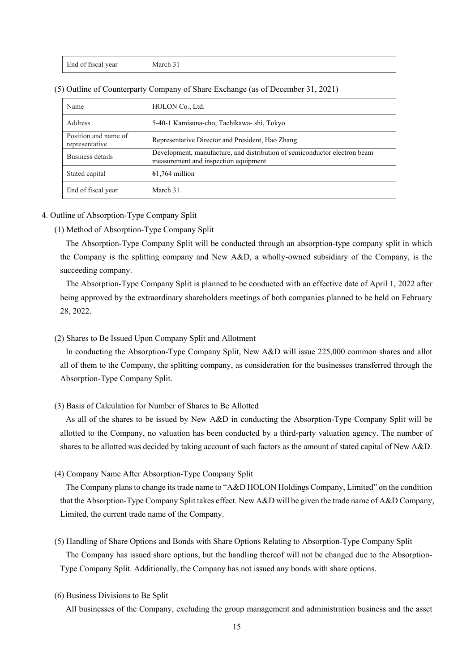| End of fiscal year | March 31 |
|--------------------|----------|
|--------------------|----------|

| Name                                   | HOLON Co., Ltd.                                                                                                   |
|----------------------------------------|-------------------------------------------------------------------------------------------------------------------|
| Address                                | 5-40-1 Kamisuna-cho, Tachikawa- shi, Tokyo                                                                        |
| Position and name of<br>representative | Representative Director and President, Hao Zhang                                                                  |
| Business details                       | Development, manufacture, and distribution of semiconductor electron beam<br>measurement and inspection equipment |
| Stated capital                         | $¥1,764$ million                                                                                                  |
| End of fiscal year                     | March 31                                                                                                          |

(5) Outline of Counterparty Company of Share Exchange (as of December 31, 2021)

#### 4. Outline of Absorption-Type Company Split

#### (1) Method of Absorption-Type Company Split

The Absorption-Type Company Split will be conducted through an absorption-type company split in which the Company is the splitting company and New A&D, a wholly-owned subsidiary of the Company, is the succeeding company.

The Absorption-Type Company Split is planned to be conducted with an effective date of April 1, 2022 after being approved by the extraordinary shareholders meetings of both companies planned to be held on February 28, 2022.

(2) Shares to Be Issued Upon Company Split and Allotment

In conducting the Absorption-Type Company Split, New A&D will issue 225,000 common shares and allot all of them to the Company, the splitting company, as consideration for the businesses transferred through the Absorption-Type Company Split.

(3) Basis of Calculation for Number of Shares to Be Allotted

As all of the shares to be issued by New A&D in conducting the Absorption-Type Company Split will be allotted to the Company, no valuation has been conducted by a third-party valuation agency. The number of shares to be allotted was decided by taking account of such factors as the amount of stated capital of New A&D.

(4) Company Name After Absorption-Type Company Split

The Company plans to change its trade name to "A&D HOLON Holdings Company, Limited" on the condition that the Absorption-Type Company Split takes effect. New A&D will be given the trade name of A&D Company, Limited, the current trade name of the Company.

(5) Handling of Share Options and Bonds with Share Options Relating to Absorption-Type Company Split The Company has issued share options, but the handling thereof will not be changed due to the Absorption-Type Company Split. Additionally, the Company has not issued any bonds with share options.

(6) Business Divisions to Be Split

All businesses of the Company, excluding the group management and administration business and the asset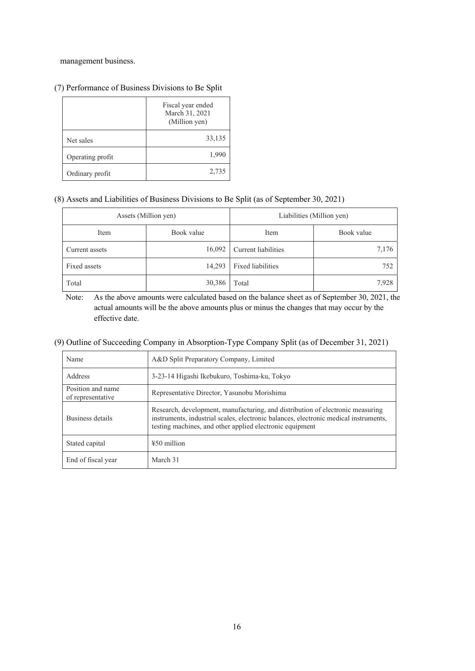management business.

|                  | Fiscal year ended<br>March 31, 2021<br>(Million yen) |  |  |
|------------------|------------------------------------------------------|--|--|
| Net sales        | 33,135                                               |  |  |
| Operating profit | 1,990                                                |  |  |
| Ordinary profit  | 2,735                                                |  |  |

# (7) Performance of Business Divisions to Be Split

## (8) Assets and Liabilities of Business Divisions to Be Split (as of September 30, 2021)

| Assets (Million yen) |            | Liabilities (Million yen) |            |  |
|----------------------|------------|---------------------------|------------|--|
| Item                 | Book value | Item                      | Book value |  |
| Current assets       | 16,092     | Current liabilities       | 7,176      |  |
| Fixed assets         | 14,293     | Fixed liabilities         | 752        |  |
| Total                | 30,386     | $\Gamma$ otal             | 7,928      |  |

Note: As the above amounts were calculated based on the balance sheet as of September 30, 2021, the actual amounts will be the above amounts plus or minus the changes that may occur by the effective date.

# (9) Outline of Succeeding Company in Absorption-Type Company Split (as of December 31, 2021)

| Name                                   | A&D Split Preparatory Company, Limited                                                                                                                                                                                             |  |  |  |
|----------------------------------------|------------------------------------------------------------------------------------------------------------------------------------------------------------------------------------------------------------------------------------|--|--|--|
| Address                                | 3-23-14 Higashi Ikebukuro, Toshima-ku, Tokyo                                                                                                                                                                                       |  |  |  |
| Position and name<br>of representative | Representative Director, Yasunobu Morishima                                                                                                                                                                                        |  |  |  |
| Business details                       | Research, development, manufacturing, and distribution of electronic measuring<br>instruments, industrial scales, electronic balances, electronic medical instruments,<br>testing machines, and other applied electronic equipment |  |  |  |
| Stated capital                         | $450$ million                                                                                                                                                                                                                      |  |  |  |
| End of fiscal year                     | March 31                                                                                                                                                                                                                           |  |  |  |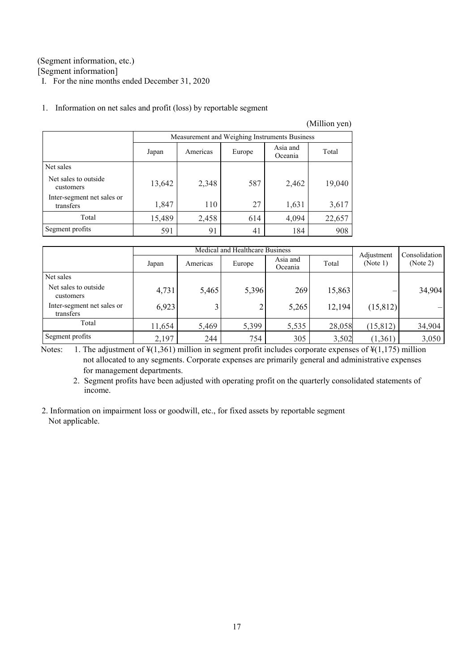# (Segment information, etc.)

[Segment information]

I. For the nine months ended December 31, 2020

|                                         |                                                             |       |     |       | (Million yen) |  |  |
|-----------------------------------------|-------------------------------------------------------------|-------|-----|-------|---------------|--|--|
|                                         | Measurement and Weighing Instruments Business               |       |     |       |               |  |  |
|                                         | Asia and<br>Total<br>Americas<br>Europe<br>Japan<br>Oceania |       |     |       |               |  |  |
| Net sales                               |                                                             |       |     |       |               |  |  |
| Net sales to outside.<br>customers      | 13,642                                                      | 2,348 | 587 | 2,462 | 19,040        |  |  |
| Inter-segment net sales or<br>transfers | 1,847                                                       | 110   | 27  | 1,631 | 3,617         |  |  |
| Total                                   | 15,489                                                      | 2,458 | 614 | 4,094 | 22,657        |  |  |
| Segment profits                         | 591                                                         | 91    | 41  | 184   | 908           |  |  |

## 1. Information on net sales and profit (loss) by reportable segment

|                                         | Medical and Healthcare Business |          |        |                     |        | Consolidation          |          |
|-----------------------------------------|---------------------------------|----------|--------|---------------------|--------|------------------------|----------|
|                                         | Japan                           | Americas | Europe | Asia and<br>Oceania | Total  | Adjustment<br>(Note 1) | (Note 2) |
| Net sales                               |                                 |          |        |                     |        |                        |          |
| Net sales to outside<br>customers       | 4,731                           | 5,465    | 5,396  | 269                 | 15,863 |                        | 34,904   |
| Inter-segment net sales or<br>transfers | 6,923                           | 3        |        | 5,265               | 12,194 | (15, 812)              |          |
| Total                                   | 11,654                          | 5,469    | 5,399  | 5,535               | 28,058 | (15, 812)              | 34,904   |
| Segment profits                         | 2,197                           | 244      | 754    | 305                 | 3,502  | (1,361)                | 3,050    |

Notes: 1. The adjustment of  $\frac{1}{261}$  million in segment profit includes corporate expenses of  $\frac{1}{21}$  million not allocated to any segments. Corporate expenses are primarily general and administrative expenses for management departments.

2. Segment profits have been adjusted with operating profit on the quarterly consolidated statements of income.

2. Information on impairment loss or goodwill, etc., for fixed assets by reportable segment Not applicable.